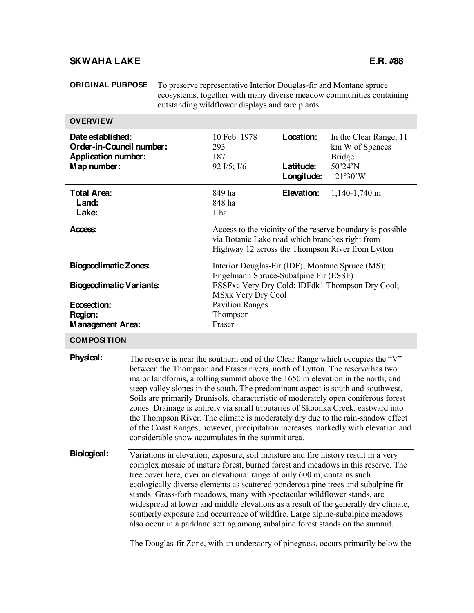# **SKWAHA LAKE E.R. #88**

**ORIGINAL PURPOSE** To preserve representative Interior Douglas-fir and Montane spruce ecosystems, together with many diverse meadow communities containing outstanding wildflower displays and rare plants

| <b>OVERVIEW</b>                                                                            |                                                                                                                                                                                                                                                                                                                                                                                                                                                                                                                                                                                                                                                                                                                                              |                                                                                                                                                                                                                                                                                                                                                                                                                                                                                                                                                                                                                                                                            |                                      |                                                                                                                |  |
|--------------------------------------------------------------------------------------------|----------------------------------------------------------------------------------------------------------------------------------------------------------------------------------------------------------------------------------------------------------------------------------------------------------------------------------------------------------------------------------------------------------------------------------------------------------------------------------------------------------------------------------------------------------------------------------------------------------------------------------------------------------------------------------------------------------------------------------------------|----------------------------------------------------------------------------------------------------------------------------------------------------------------------------------------------------------------------------------------------------------------------------------------------------------------------------------------------------------------------------------------------------------------------------------------------------------------------------------------------------------------------------------------------------------------------------------------------------------------------------------------------------------------------------|--------------------------------------|----------------------------------------------------------------------------------------------------------------|--|
| Date established:<br>Order-in-Council number:<br><b>Application number:</b><br>Map number: |                                                                                                                                                                                                                                                                                                                                                                                                                                                                                                                                                                                                                                                                                                                                              | 10 Feb. 1978<br>293<br>187<br>92 I/5; I/6                                                                                                                                                                                                                                                                                                                                                                                                                                                                                                                                                                                                                                  | Location:<br>Latitude:<br>Longitude: | In the Clear Range, 11<br>km W of Spences<br><b>Bridge</b><br>50°24'N<br>121°30'W                              |  |
| <b>Total Area:</b><br>Land:<br>Lake:                                                       |                                                                                                                                                                                                                                                                                                                                                                                                                                                                                                                                                                                                                                                                                                                                              | 849 ha<br>848 ha<br>$1$ ha                                                                                                                                                                                                                                                                                                                                                                                                                                                                                                                                                                                                                                                 | Elevation:                           | 1,140-1,740 m                                                                                                  |  |
| Access:                                                                                    |                                                                                                                                                                                                                                                                                                                                                                                                                                                                                                                                                                                                                                                                                                                                              | via Botanie Lake road which branches right from                                                                                                                                                                                                                                                                                                                                                                                                                                                                                                                                                                                                                            |                                      | Access to the vicinity of the reserve boundary is possible<br>Highway 12 across the Thompson River from Lytton |  |
| <b>Biogeoclimatic Zones:</b><br><b>Biogeodimatic Variants:</b><br>Ecosection:              |                                                                                                                                                                                                                                                                                                                                                                                                                                                                                                                                                                                                                                                                                                                                              | Interior Douglas-Fir (IDF); Montane Spruce (MS);<br>Engelmann Spruce-Subalpine Fir (ESSF)<br>ESSFxc Very Dry Cold; IDFdk1 Thompson Dry Cool;<br><b>MSxk Very Dry Cool</b><br><b>Pavilion Ranges</b>                                                                                                                                                                                                                                                                                                                                                                                                                                                                        |                                      |                                                                                                                |  |
| Region:<br>Management Area:                                                                |                                                                                                                                                                                                                                                                                                                                                                                                                                                                                                                                                                                                                                                                                                                                              | Thompson<br>Fraser                                                                                                                                                                                                                                                                                                                                                                                                                                                                                                                                                                                                                                                         |                                      |                                                                                                                |  |
| <b>COMPOSITION</b>                                                                         |                                                                                                                                                                                                                                                                                                                                                                                                                                                                                                                                                                                                                                                                                                                                              |                                                                                                                                                                                                                                                                                                                                                                                                                                                                                                                                                                                                                                                                            |                                      |                                                                                                                |  |
| Physical:                                                                                  | The reserve is near the southern end of the Clear Range which occupies the "V"<br>between the Thompson and Fraser rivers, north of Lytton. The reserve has two<br>major landforms, a rolling summit above the 1650 m elevation in the north, and<br>steep valley slopes in the south. The predominant aspect is south and southwest.<br>Soils are primarily Brunisols, characteristic of moderately open coniferous forest<br>zones. Drainage is entirely via small tributaries of Skoonka Creek, eastward into<br>the Thompson River. The climate is moderately dry due to the rain-shadow effect<br>of the Coast Ranges, however, precipitation increases markedly with elevation and<br>considerable snow accumulates in the summit area. |                                                                                                                                                                                                                                                                                                                                                                                                                                                                                                                                                                                                                                                                            |                                      |                                                                                                                |  |
| <b>Biological:</b>                                                                         |                                                                                                                                                                                                                                                                                                                                                                                                                                                                                                                                                                                                                                                                                                                                              | Variations in elevation, exposure, soil moisture and fire history result in a very<br>complex mosaic of mature forest, burned forest and meadows in this reserve. The<br>tree cover here, over an elevational range of only 600 m, contains such<br>ecologically diverse elements as scattered ponderosa pine trees and subalpine fir<br>stands. Grass-forb meadows, many with spectacular wildflower stands, are<br>widespread at lower and middle elevations as a result of the generally dry climate,<br>southerly exposure and occurrence of wildfire. Large alpine-subalpine meadows<br>also occur in a parkland setting among subalpine forest stands on the summit. |                                      |                                                                                                                |  |

The Douglas-fir Zone, with an understory of pinegrass, occurs primarily below the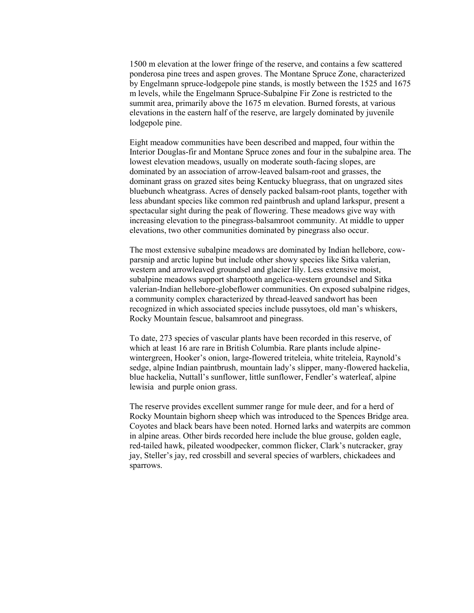1500 m elevation at the lower fringe of the reserve, and contains a few scattered ponderosa pine trees and aspen groves. The Montane Spruce Zone, characterized by Engelmann spruce-lodgepole pine stands, is mostly between the 1525 and 1675 m levels, while the Engelmann Spruce-Subalpine Fir Zone is restricted to the summit area, primarily above the 1675 m elevation. Burned forests, at various elevations in the eastern half of the reserve, are largely dominated by juvenile lodgepole pine.

Eight meadow communities have been described and mapped, four within the Interior Douglas-fir and Montane Spruce zones and four in the subalpine area. The lowest elevation meadows, usually on moderate south-facing slopes, are dominated by an association of arrow-leaved balsam-root and grasses, the dominant grass on grazed sites being Kentucky bluegrass, that on ungrazed sites bluebunch wheatgrass. Acres of densely packed balsam-root plants, together with less abundant species like common red paintbrush and upland larkspur, present a spectacular sight during the peak of flowering. These meadows give way with increasing elevation to the pinegrass-balsamroot community. At middle to upper elevations, two other communities dominated by pinegrass also occur.

The most extensive subalpine meadows are dominated by Indian hellebore, cowparsnip and arctic lupine but include other showy species like Sitka valerian, western and arrowleaved groundsel and glacier lily. Less extensive moist, subalpine meadows support sharptooth angelica-western groundsel and Sitka valerian-Indian hellebore-globeflower communities. On exposed subalpine ridges, a community complex characterized by thread-leaved sandwort has been recognized in which associated species include pussytoes, old man's whiskers, Rocky Mountain fescue, balsamroot and pinegrass.

To date, 273 species of vascular plants have been recorded in this reserve, of which at least 16 are rare in British Columbia. Rare plants include alpinewintergreen, Hooker's onion, large-flowered triteleia, white triteleia, Raynold's sedge, alpine Indian paintbrush, mountain lady's slipper, many-flowered hackelia, blue hackelia, Nuttall's sunflower, little sunflower, Fendler's waterleaf, alpine lewisia and purple onion grass.

The reserve provides excellent summer range for mule deer, and for a herd of Rocky Mountain bighorn sheep which was introduced to the Spences Bridge area. Coyotes and black bears have been noted. Horned larks and waterpits are common in alpine areas. Other birds recorded here include the blue grouse, golden eagle, red-tailed hawk, pileated woodpecker, common flicker, Clark's nutcracker, gray jay, Steller's jay, red crossbill and several species of warblers, chickadees and sparrows.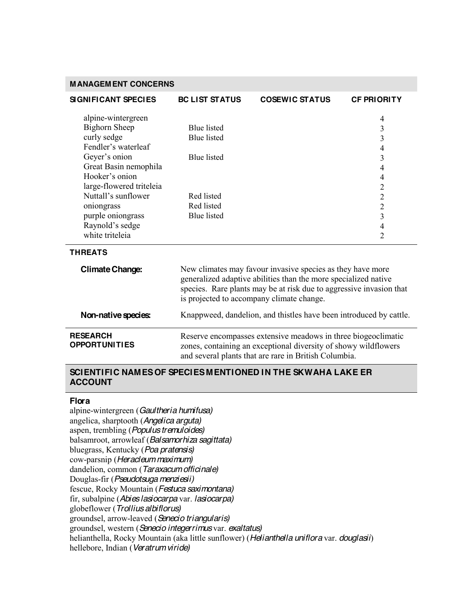### **MANAGEMENT CONCERNS**

| <b>SIGNIFICANT SPECIES</b>                                                                                                                                                                                                                                               | <b>BC LIST STATUS</b>                                                                                                                                                                                                                             | <b>COSEWIC STATUS</b>                                                                                                            | <b>CF PRIORITY</b>                                                                                                                                                                                                                     |
|--------------------------------------------------------------------------------------------------------------------------------------------------------------------------------------------------------------------------------------------------------------------------|---------------------------------------------------------------------------------------------------------------------------------------------------------------------------------------------------------------------------------------------------|----------------------------------------------------------------------------------------------------------------------------------|----------------------------------------------------------------------------------------------------------------------------------------------------------------------------------------------------------------------------------------|
| alpine-wintergreen<br><b>Bighorn Sheep</b><br>curly sedge<br>Fendler's waterleaf<br>Geyer's onion<br>Great Basin nemophila<br>Hooker's onion<br>large-flowered triteleia<br>Nuttall's sunflower<br>oniongrass<br>purple oniongrass<br>Raynold's sedge<br>white triteleia | <b>Blue</b> listed<br><b>Blue</b> listed<br><b>Blue</b> listed<br>Red listed<br>Red listed<br><b>Blue</b> listed                                                                                                                                  |                                                                                                                                  | 4<br>3<br>3<br>$\overline{4}$<br>$\overline{\mathbf{3}}$<br>$\overline{\mathcal{A}}$<br>$\overline{\mathcal{A}}$<br>$\overline{2}$<br>$\overline{2}$<br>$\overline{2}$<br>$\overline{3}$<br>$\overline{\mathcal{A}}$<br>$\overline{2}$ |
| <b>THREATS</b>                                                                                                                                                                                                                                                           |                                                                                                                                                                                                                                                   |                                                                                                                                  |                                                                                                                                                                                                                                        |
| <b>Climate Change:</b>                                                                                                                                                                                                                                                   | New climates may favour invasive species as they have more<br>generalized adaptive abilities than the more specialized native<br>species. Rare plants may be at risk due to aggressive invasion that<br>is projected to accompany climate change. |                                                                                                                                  |                                                                                                                                                                                                                                        |
| Non-native species:                                                                                                                                                                                                                                                      |                                                                                                                                                                                                                                                   | Knappweed, dandelion, and thistles have been introduced by cattle.                                                               |                                                                                                                                                                                                                                        |
| <b>RESEARCH</b><br><b>OPPORTUNITIES</b>                                                                                                                                                                                                                                  |                                                                                                                                                                                                                                                   | Reserve encompasses extensive meadows in three biogeoclimatic<br>zones, containing an exceptional diversity of showy wildflowers |                                                                                                                                                                                                                                        |

#### **SCIENTIFIC NAMES OF SPECIES MENTIONED IN THE SKWAHA LAKE ER ACCOUNT**

and several plants that are rare in British Columbia.

#### **Flora**

alpine-wintergreen (*Gaultheria humifusa)* angelica, sharptooth (*Angelica arguta)* aspen, trembling (*Populus tremuloides)* balsamroot, arrowleaf (*Balsamorhiza sagittata)* bluegrass, Kentucky (*Poa pratensis)* cow-parsnip (*Heracleum maximum)* dandelion, common (*Taraxacum officinale)* Douglas-fir (*Pseudotsuga menziesii)* fescue, Rocky Mountain (*Festuca saximontana)* fir, subalpine (*Abies lasiocarpa* var. *lasiocarpa)* globeflower (*Trollius albiflorus)* groundsel, arrow-leaved (*Senecio triangularis)* groundsel, western (*Senecio integerrimus* var. *exaltatus)* helianthella, Rocky Mountain (aka little sunflower) (*Helianthella uniflora* var. *douglasii*) hellebore, Indian (*Veratrum viride)*